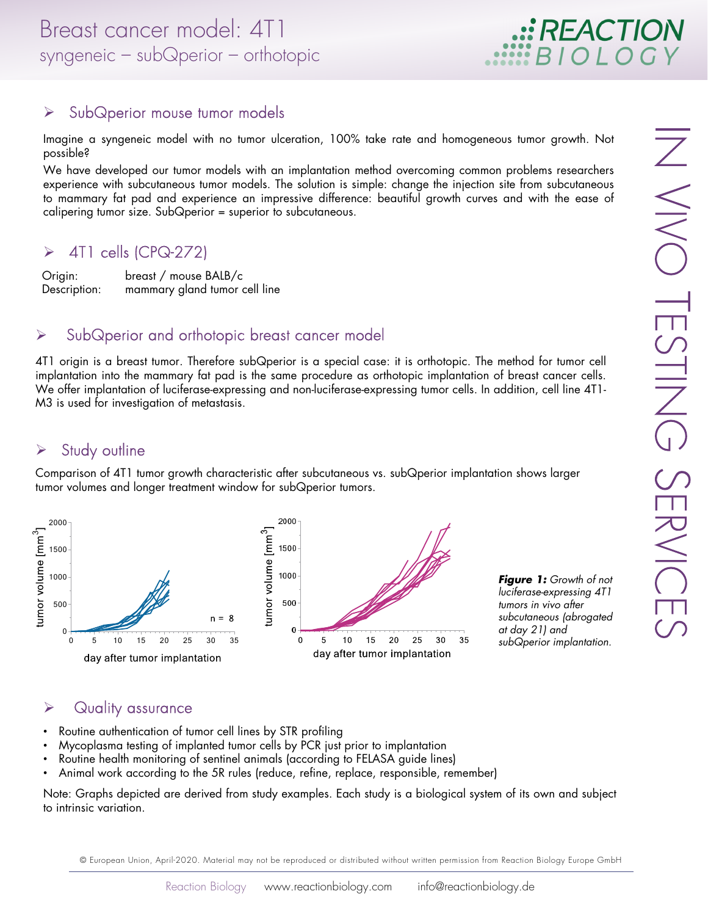## $\triangleright$  SubQperior mouse tumor models

Imagine a syngeneic model with no tumor ulceration, 100% take rate and homogeneous tumor growth. Not possible?

We have developed our tumor models with an implantation method overcoming common problems researchers experience with subcutaneous tumor models. The solution is simple: change the injection site from subcutaneous to mammary fat pad and experience an impressive difference: beautiful growth curves and with the ease of calipering tumor size. SubQperior = superior to subcutaneous.

### $\triangleright$  4T1 cells (CPQ-272)

Origin: breast / mouse BALB/c Description: mammary gland tumor cell line

#### $\triangleright$  SubQperior and orthotopic breast cancer model

4T1 origin is a breast tumor. Therefore subQperior is a special case: it is orthotopic. The method for tumor cell implantation into the mammary fat pad is the same procedure as orthotopic implantation of breast cancer cells. We offer implantation of luciferase-expressing and non-luciferase-expressing tumor cells. In addition, cell line 4T1- M3 is used for investigation of metastasis.

# $\triangleright$  Study outline

Comparison of 4T1 tumor growth characteristic after subcutaneous vs. subQperior implantation shows larger tumor volumes and longer treatment window for subQperior tumors.



*Figure 1:* Growth of not luciferase-expressing 4T1 tumors in vivo after subcutaneous (abrogated at day 21) and subQperior implantation.

## $\triangleright$  Quality assurance

- Routine authentication of tumor cell lines by STR profiling
- Mycoplasma testing of implanted tumor cells by PCR just prior to implantation
- Routine health monitoring of sentinel animals (according to FELASA guide lines)
- Animal work according to the 5R rules (reduce, refine, replace, responsible, remember)

Note: Graphs depicted are derived from study examples. Each study is a biological system of its own and subject to intrinsic variation.

© European Union, April-2020. Material may not be reproduced or distributed without written permission from Reaction Biology Europe GmbH

**: REACTION**